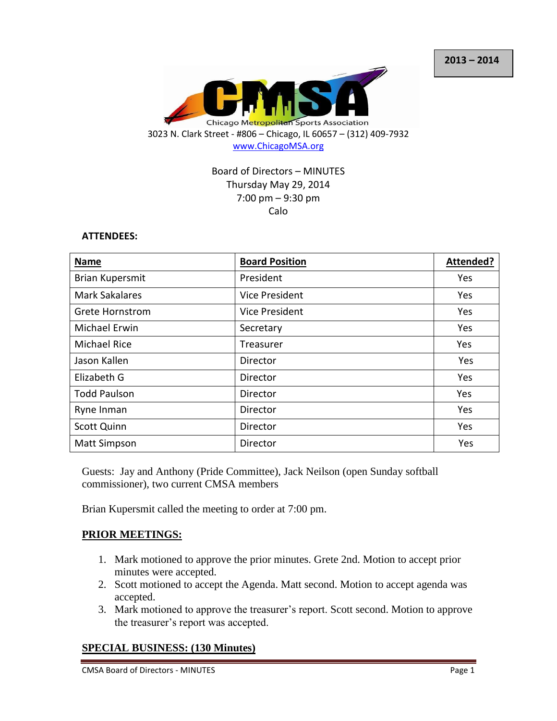

# Board of Directors – MINUTES Thursday May 29, 2014 7:00 pm – 9:30 pm Calo

#### **ATTENDEES:**

| <b>Name</b>            | <b>Board Position</b> | Attended? |
|------------------------|-----------------------|-----------|
| <b>Brian Kupersmit</b> | President             | Yes       |
| <b>Mark Sakalares</b>  | <b>Vice President</b> | Yes       |
| <b>Grete Hornstrom</b> | <b>Vice President</b> | Yes       |
| <b>Michael Erwin</b>   | Secretary             | Yes       |
| <b>Michael Rice</b>    | Treasurer             | Yes       |
| Jason Kallen           | Director              | Yes       |
| Elizabeth G            | Director              | Yes       |
| <b>Todd Paulson</b>    | Director              | Yes       |
| Ryne Inman             | Director              | Yes       |
| <b>Scott Quinn</b>     | Director              | Yes       |
| <b>Matt Simpson</b>    | Director              | Yes       |

Guests: Jay and Anthony (Pride Committee), Jack Neilson (open Sunday softball commissioner), two current CMSA members

Brian Kupersmit called the meeting to order at 7:00 pm.

#### **PRIOR MEETINGS:**

- 1. Mark motioned to approve the prior minutes. Grete 2nd. Motion to accept prior minutes were accepted.
- 2. Scott motioned to accept the Agenda. Matt second. Motion to accept agenda was accepted.
- 3. Mark motioned to approve the treasurer's report. Scott second. Motion to approve the treasurer's report was accepted.

## **SPECIAL BUSINESS: (130 Minutes)**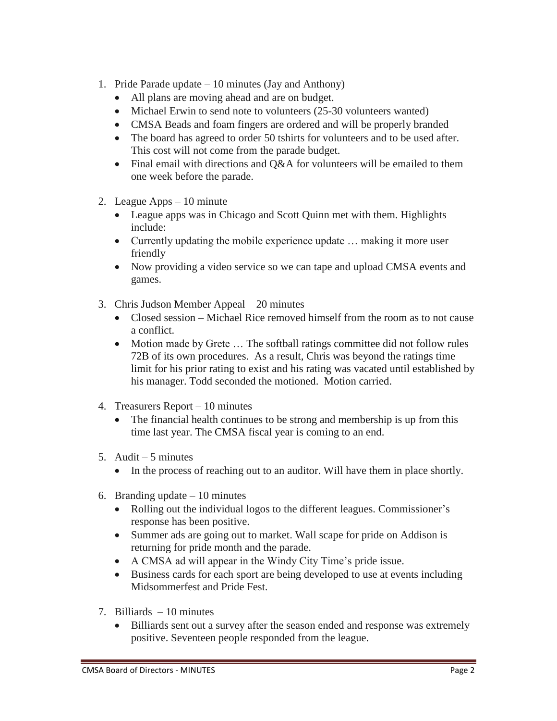- 1. Pride Parade update 10 minutes (Jay and Anthony)
	- All plans are moving ahead and are on budget.
	- Michael Erwin to send note to volunteers (25-30 volunteers wanted)
	- CMSA Beads and foam fingers are ordered and will be properly branded
	- The board has agreed to order 50 tshirts for volunteers and to be used after. This cost will not come from the parade budget.
	- Final email with directions and Q&A for volunteers will be emailed to them one week before the parade.
- 2. League Apps 10 minute
	- League apps was in Chicago and Scott Quinn met with them. Highlights include:
	- Currently updating the mobile experience update ... making it more user friendly
	- Now providing a video service so we can tape and upload CMSA events and games.
- 3. Chris Judson Member Appeal 20 minutes
	- Closed session Michael Rice removed himself from the room as to not cause a conflict.
	- Motion made by Grete ... The softball ratings committee did not follow rules 72B of its own procedures. As a result, Chris was beyond the ratings time limit for his prior rating to exist and his rating was vacated until established by his manager. Todd seconded the motioned. Motion carried.
- 4. Treasurers Report 10 minutes
	- The financial health continues to be strong and membership is up from this time last year. The CMSA fiscal year is coming to an end.
- 5. Audit 5 minutes
	- In the process of reaching out to an auditor. Will have them in place shortly.
- 6. Branding update  $-10$  minutes
	- Rolling out the individual logos to the different leagues. Commissioner's response has been positive.
	- Summer ads are going out to market. Wall scape for pride on Addison is returning for pride month and the parade.
	- A CMSA ad will appear in the Windy City Time's pride issue.
	- Business cards for each sport are being developed to use at events including Midsommerfest and Pride Fest.
- 7. Billiards 10 minutes
	- Billiards sent out a survey after the season ended and response was extremely positive. Seventeen people responded from the league.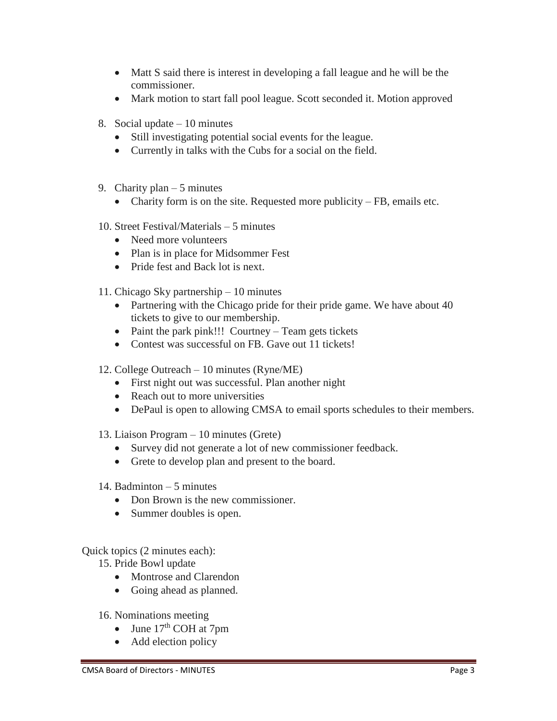- Matt S said there is interest in developing a fall league and he will be the commissioner.
- Mark motion to start fall pool league. Scott seconded it. Motion approved
- 8. Social update 10 minutes
	- Still investigating potential social events for the league.
	- Currently in talks with the Cubs for a social on the field.
- 9. Charity plan  $-5$  minutes
	- Charity form is on the site. Requested more publicity FB, emails etc.
- 10. Street Festival/Materials 5 minutes
	- Need more volunteers
	- Plan is in place for Midsommer Fest
	- Pride fest and Back lot is next.
- 11. Chicago Sky partnership 10 minutes
	- Partnering with the Chicago pride for their pride game. We have about 40 tickets to give to our membership.
	- Paint the park pink!!! Courtney Team gets tickets
	- Contest was successful on FB. Gave out 11 tickets!
- 12. College Outreach 10 minutes (Ryne/ME)
	- First night out was successful. Plan another night
	- Reach out to more universities
	- DePaul is open to allowing CMSA to email sports schedules to their members.
- 13. Liaison Program 10 minutes (Grete)
	- Survey did not generate a lot of new commissioner feedback.
	- Grete to develop plan and present to the board.
- 14. Badminton 5 minutes
	- Don Brown is the new commissioner.
	- Summer doubles is open.

Quick topics (2 minutes each):

15. Pride Bowl update

- Montrose and Clarendon
- Going ahead as planned.
- 16. Nominations meeting
	- June  $17<sup>th</sup>$  COH at 7pm
	- Add election policy